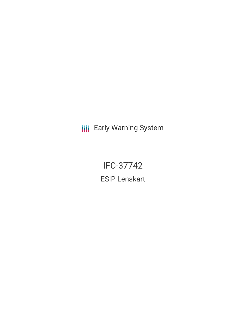**III** Early Warning System

IFC-37742 ESIP Lenskart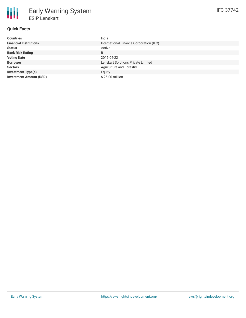# **Quick Facts**

| <b>Countries</b>               | India                                   |
|--------------------------------|-----------------------------------------|
| <b>Financial Institutions</b>  | International Finance Corporation (IFC) |
| <b>Status</b>                  | Active                                  |
| <b>Bank Risk Rating</b>        | B                                       |
| <b>Voting Date</b>             | 2015-04-22                              |
| <b>Borrower</b>                | Lenskart Solutions Private Limited      |
| <b>Sectors</b>                 | Agriculture and Forestry                |
| <b>Investment Type(s)</b>      | Equity                                  |
| <b>Investment Amount (USD)</b> | \$25.00 million                         |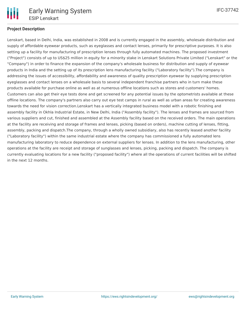

# **Project Description**

Lenskart, based in Delhi, India, was established in 2008 and is currently engaged in the assembly, wholesale distribution and supply of affordable eyewear products, such as eyeglasses and contact lenses, primarily for prescriptive purposes. It is also setting up a facility for manufacturing of prescription lenses through fully automated machines. The proposed investment ("Project") consists of up to US\$25 million in equity for a minority stake in Lenskart Solutions Private Limited ("Lenskart" or the "Company") in order to finance the expansion of the company's wholesale business for distribution and supply of eyewear products in India and the setting up of its prescription lens manufacturing facility ("Laboratory facility").The company is addressing the issues of accessibility, affordability and awareness of quality prescription eyewear by supplying prescription eyeglasses and contact lenses on a wholesale basis to several independent franchise partners who in turn make these products available for purchase online as well as at numerous offline locations such as stores and customers' homes. Customers can also get their eye tests done and get screened for any potential issues by the optometrists available at these offline locations. The company's partners also carry out eye test camps in rural as well as urban areas for creating awareness towards the need for vision correction.Lenskart has a vertically integrated business model with a robotic finishing and assembly facility in Okhla Industrial Estate, in New Delhi, India ("Assembly facility"). The lenses and frames are sourced from various suppliers and cut, finished and assembled at the Assembly facility based on the received orders. The main operations at the facility are receiving and storage of frames and lenses, picking (based on orders), machine cutting of lenses, fitting, assembly, packing and dispatch.The company, through a wholly owned subsidiary, also has recently leased another facility ("Laboratory facility") within the same industrial estate where the company has commissioned a fully automated lens manufacturing laboratory to reduce dependence on external suppliers for lenses. In addition to the lens manufacturing, other operations at the facility are receipt and storage of sunglasses and lenses, picking, packing and dispatch. The company is currently evaluating locations for a new facility ("proposed facility") where all the operations of current facilities will be shifted in the next 12 months.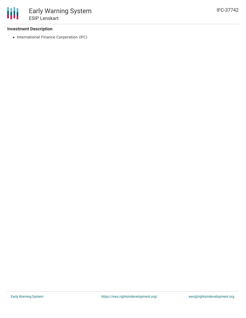### **Investment Description**

• International Finance Corporation (IFC)